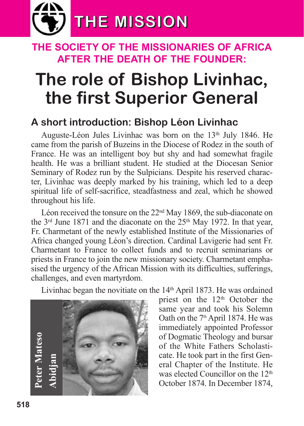

### **The SocieTy of The MiSSionarieS of africa afTer The deaTh of The founder:**

# **The role of Bishop Livinhac, the first Superior General**

### **A short introduction: Bishop Léon Livinhac**

Auguste-Léon Jules Livinhac was born on the 13<sup>th</sup> July 1846. He came from the parish of Buzeins in the Diocese of Rodez in the south of France. He was an intelligent boy but shy and had somewhat fragile health. He was a brilliant student. He studied at the Diocesan Senior Seminary of Rodez run by the Sulpicians. Despite his reserved character, Livinhac was deeply marked by his training, which led to a deep spiritual life of self-sacrifice, steadfastness and zeal, which he showed throughout his life.

Léon received the tonsure on the 22<sup>nd</sup> May 1869, the sub-diaconate on the  $3<sup>rd</sup>$  June 1871 and the diaconate on the  $25<sup>th</sup>$  May 1972. In that year, Fr. Charmetant of the newly established Institute of the Missionaries of Africa changed young Léon's direction. Cardinal Lavigerie had sent Fr. Charmetant to France to collect funds and to recruit seminarians or priests in France to join the new missionary society. Charmetant emphasised the urgency of the African Mission with its difficulties, sufferings, challenges, and even martyrdom.

Livinhac began the novitiate on the  $14<sup>th</sup>$  April 1873. He was ordained

**Abidja n**

priest on the 12<sup>th</sup> October the same year and took his Solemn Oath on the 7<sup>th</sup> April 1874. He was immediately appointed Professor of Dogmatic Theology and bursar of the White Fathers Scholasticate. He took part in the first General Chapter of the Institute. He was elected Councillor on the 12<sup>th</sup> October 1874. In December 1874,

**Pete r**

**M**

**ateso**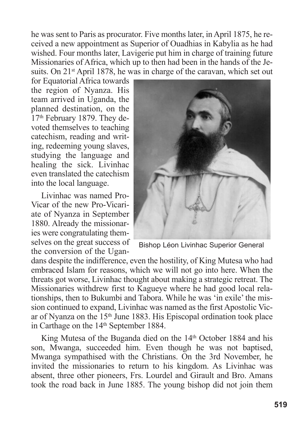he was sent to Paris as procurator. Five months later, in April 1875, he received a new appointment as Superior of Ouadhias in Kabylia as he had wished. Four months later, Lavigerie put him in charge of training future Missionaries of Africa, which up to then had been in the hands of the Jesuits. On  $21<sup>st</sup>$  April 1878, he was in charge of the caravan, which set out

for Equatorial Africa towards the region of Nyanza. His team arrived in Uganda, the planned destination, on the 17th February 1879. They devoted themselves to teaching catechism, reading and writing, redeeming young slaves, studying the language and healing the sick. Livinhac even translated the catechism into the local language.

Livinhac was named Pro-Vicar of the new Pro-Vicariate of Nyanza in September 1880. Already the missionaries were congratulating themselves on the great success of the conversion of the Ugan-



Bishop Léon Livinhac Superior General

dans despite the indifference, even the hostility, of King Mutesa who had embraced Islam for reasons, which we will not go into here. When the threats got worse, Livinhac thought about making a strategic retreat. The Missionaries withdrew first to Kagueye where he had good local relationships, then to Bukumbi and Tabora. While he was 'in exile'the mission continued to expand, Livinhac was named as the first Apostolic Vicar of Nyanza on the 15<sup>th</sup> June 1883. His Episcopal ordination took place in Carthage on the 14<sup>th</sup> September 1884.

King Mutesa of the Buganda died on the 14<sup>th</sup> October 1884 and his son, Mwanga, succeeded him. Even though he was not baptised, Mwanga sympathised with the Christians. On the 3rd November, he invited the missionaries to return to his kingdom. As Livinhac was absent, three other pioneers, Frs. Lourdel and Girault and Bro. Amans took the road back in June 1885. The young bishop did not join them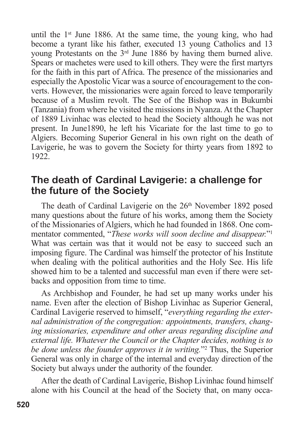until the  $1<sup>st</sup>$  June 1886. At the same time, the young king, who had become a tyrant like his father, executed 13 young Catholics and 13 young Protestants on the 3rd June 1886 by having them burned alive. Spears or machetes were used to kill others. They were the first martyrs for the faith in this part of Africa. The presence of the missionaries and especially the Apostolic Vicar was a source of encouragement to the converts. However, the missionaries were again forced to leave temporarily because of a Muslim revolt. The See of the Bishop was in Bukumbi (Tanzania) from where he visited the missions in Nyanza. At the Chapter of 1889 Livinhac was elected to head the Society although he was not present. In June1890, he left his Vicariate for the last time to go to Algiers. Becoming Superior General in his own right on the death of Lavigerie, he was to govern the Society for thirty years from 1892 to 1922.

### **The death of Cardinal Lavigerie: a challenge for the future of the Society**

The death of Cardinal Lavigerie on the 26<sup>th</sup> November 1892 posed many questions about the future of his works, among them the Society of the Missionaries of Algiers, which he had founded in 1868. One commentator commented, "*These works will soon decline and disappear.*"1 What was certain was that it would not be easy to succeed such an imposing figure. The Cardinal was himself the protector of his Institute when dealing with the political authorities and the Holy See. His life showed him to be a talented and successful man even if there were setbacks and opposition from time to time.

As Archbishop and Founder, he had set up many works under his name. Even after the election of Bishop Livinhac as Superior General, Cardinal Lavigerie reserved to himself, "*everything regarding the external administration of the congregation: appointments, transfers, changing missionaries, expenditure and other areas regarding discipline and external life. Whatever the Council or the Chapter decides, nothing is to be done unless the founder approves it in writing.*"2 Thus, the Superior General was only in charge of the internal and everyday direction of the Society but always under the authority of the founder.

After the death of Cardinal Lavigerie, Bishop Livinhac found himself alone with his Council at the head of the Society that, on many occa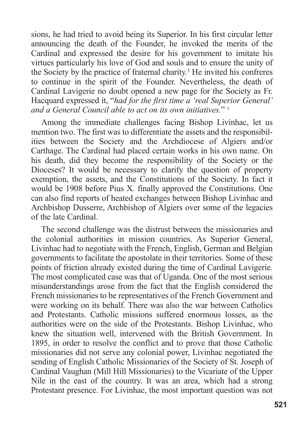sions, he had tried to avoid being its Superior. In his first circular letter announcing the death of the Founder, he invoked the merits of the Cardinal and expressed the desire for his government to imitate his virtues particularly his love of God and souls and to ensure the unity of the Society by the practice of fraternal charity. <sup>3</sup> He invited his confreres to continue in the spirit of the Founder. Nevertheless, the death of Cardinal Lavigerie no doubt opened a new page for the Society as Fr. Hacquard expressed it, "*had for the first time a 'real Superior General' and a General Council able to act on its own initiatives.*" <sup>4</sup>

Among the immediate challenges facing Bishop Livinhac, let us mention two. The first was to differentiate the assets and the responsibilities between the Society and the Archdiocese of Algiers and/or Carthage. The Cardinal had placed certain works in his own name. On his death, did they become the responsibility of the Society or the Dioceses? It would be necessary to clarify the question of property exemption, the assets, and the Constitutions of the Society. In fact it would be 1908 before Pius X. finally approved the Constitutions. One can also find reports of heated exchanges between Bishop Livinhac and Archbishop Dusserre, Archbishop of Algiers over some of the legacies of the late Cardinal.

The second challenge was the distrust between the missionaries and the colonial authorities in mission countries. As Superior General, Livinhac had to negotiate with the French, English, German and Belgian governments to facilitate the apostolate in their territories. Some of these points of friction already existed during the time of Cardinal Lavigerie. The most complicated case was that of Uganda. One of the most serious misunderstandings arose from the fact that the English considered the French missionaries to be representatives of the French Government and were working on its behalf. There was also the war between Catholics and Protestants. Catholic missions suffered enormous losses, as the authorities were on the side of the Protestants. Bishop Livinhac, who knew the situation well, intervened with the British Government. In 1895, in order to resolve the conflict and to prove that those Catholic missionaries did not serve any colonial power, Livinhac negotiated the sending of English Catholic Missionaries of the Society of St. Joseph of Cardinal Vaughan (Mill Hill Missionaries) to the Vicariate of the Upper Nile in the east of the country. It was an area, which had a strong Protestant presence. For Livinhac, the most important question was not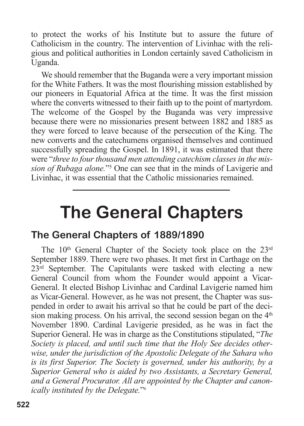to protect the works of his Institute but to assure the future of Catholicism in the country. The intervention of Livinhac with the religious and political authorities in London certainly saved Catholicism in Uganda.

We should remember that the Buganda were a very important mission for the White Fathers. It was the most flourishing mission established by our pioneers in Equatorial Africa at the time. It was the first mission where the converts witnessed to their faith up to the point of martyrdom. The welcome of the Gospel by the Buganda was very impressive because there were no missionaries present between 1882 and 1885 as they were forced to leave because of the persecution of the King. The new converts and the catechumens organised themselves and continued successfully spreading the Gospel. In 1891, it was estimated that there were "*three to four thousand men attending catechism classes in the mission of Rubaga alone.*"5 One can see that in the minds of Lavigerie and Livinhac, it was essential that the Catholic missionaries remained.

## **The General Chapters**

#### **The General Chapters of 1889/1890**

The  $10<sup>th</sup>$  General Chapter of the Society took place on the  $23<sup>rd</sup>$ September 1889. There were two phases. It met first in Carthage on the 23<sup>rd</sup> September. The Capitulants were tasked with electing a new General Council from whom the Founder would appoint a Vicar-General. It elected Bishop Livinhac and Cardinal Lavigerie named him as Vicar-General. However, as he was not present, the Chapter was suspended in order to await his arrival so that he could be part of the decision making process. On his arrival, the second session began on the  $4<sup>th</sup>$ November 1890. Cardinal Lavigerie presided, as he was in fact the Superior General. He was in charge as the Constitutions stipulated, "*The Society is placed, and until such time that the Holy See decides otherwise, under the jurisdiction of the Apostolic Delegate of the Sahara who is its first Superior. The Society is governed, under his authority, by a Superior General who is aided by two Assistants, a Secretary General, and a General Procurator. All are appointed by the Chapter and canonically instituted by the Delegate.*"6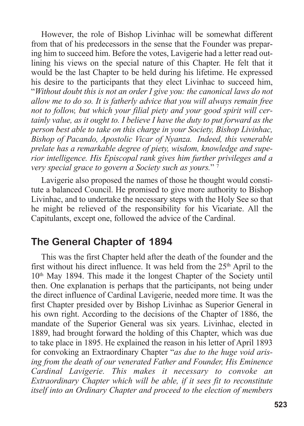However, the role of Bishop Livinhac will be somewhat different from that of his predecessors in the sense that the Founder was preparing him to succeed him. Before the votes, Lavigerie had a letter read outlining his views on the special nature of this Chapter. He felt that it would be the last Chapter to be held during his lifetime. He expressed his desire to the participants that they elect Livinhac to succeed him, "*Without doubt this is not an order I give you: the canonical laws do not allow me to do so. It is fatherly advice that you will always remain free not to follow, but which your filial piety and your good spirit will certainly value, as it ought to. I believe I have the duty to put forward as the person best able to take on this charge in your Society, Bishop Livinhac, Bishop of Pacando, Apostolic Vicar of Nyanza. Indeed, this venerable prelate has a remarkable degree of piety, wisdom, knowledge and superior intelligence. His Episcopal rank gives him further privileges and a very special grace to govern a Society such as yours.*" <sup>7</sup>

Lavigerie also proposed the names of those he thought would constitute a balanced Council. He promised to give more authority to Bishop Livinhac, and to undertake the necessary steps with the Holy See so that he might be relieved of the responsibility for his Vicariate. All the Capitulants, except one, followed the advice of the Cardinal.

### **The General Chapter of 1894**

This was the first Chapter held after the death of the founder and the first without his direct influence. It was held from the  $25<sup>th</sup>$  April to the 10th May 1894. This made it the longest Chapter of the Society until then. One explanation is perhaps that the participants, not being under the direct influence of Cardinal Lavigerie, needed more time. It was the first Chapter presided over by Bishop Livinhac as Superior General in his own right. According to the decisions of the Chapter of 1886, the mandate of the Superior General was six years. Livinhac, elected in 1889, had brought forward the holding of this Chapter, which was due to take place in 1895. He explained the reason in his letter of April 1893 for convoking an Extraordinary Chapter "*as due to the huge void arising from the death of our venerated Father and Founder, His Eminence Cardinal Lavigerie. This makes it necessary to convoke an Extraordinary Chapter which will be able, if it sees fit to reconstitute itself into an Ordinary Chapter and proceed to the election of members*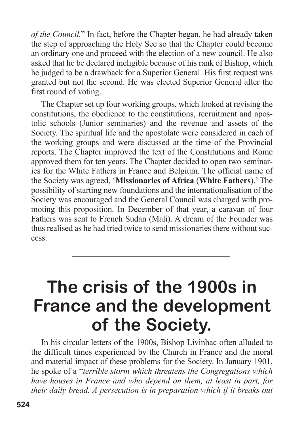*of the Council.*" In fact, before the Chapter began, he had already taken the step of approaching the Holy See so that the Chapter could become an ordinary one and proceed with the election of a new council. He also asked that he be declared ineligible because of his rank of Bishop, which he judged to be a drawback for a Superior General. His first request was granted but not the second. He was elected Superior General after the first round of voting.

The Chapter set up four working groups, which looked at revising the constitutions, the obedience to the constitutions, recruitment and apostolic schools (Junior seminaries) and the revenue and assets of the Society. The spiritual life and the apostolate were considered in each of the working groups and were discussed at the time of the Provincial reports. The Chapter improved the text of the Constitutions and Rome approved them for ten years. The Chapter decided to open two seminaries for the White Fathers in France and Belgium. The official name of the Society was agreed, '**Missionaries of Africa** (**White Fathers**).'The possibility of starting new foundations and the internationalisation of the Society was encouraged and the General Council was charged with promoting this proposition. In December of that year, a caravan of four Fathers was sent to French Sudan (Mali). A dream of the Founder was thus realised as he had tried twice to send missionaries there without success.

### **The crisis of the 1900s in France and the development of the Society.**

In his circular letters of the 1900s, Bishop Livinhac often alluded to the difficult times experienced by the Church in France and the moral and material impact of these problems for the Society. In January 1901, he spoke of a "*terrible storm which threatens the Congregations which have houses in France and who depend on them, at least in part, for their daily bread. A persecution is in preparation which if it breaks out*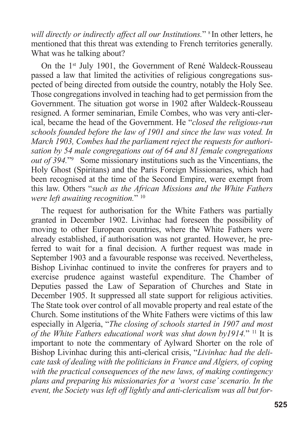*will directly or indirectly affect all our Institutions.*" <sup>8</sup> In other letters, he mentioned that this threat was extending to French territories generally. What was he talking about?

On the 1st July 1901, the Government of René Waldeck-Rousseau passed a law that limited the activities of religious congregations suspected of being directed from outside the country, notably the Holy See. Those congregations involved in teaching had to get permission from the Government. The situation got worse in 1902 after Waldeck-Rousseau resigned. A former seminarian, Emile Combes, who was very anti-clerical, became the head of the Government. He "*closed the religious-run schools founded before the law of 1901 and since the law was voted. In March 1903, Combes had the parliament reject the requests for authorisation by 54 male congregations out of 64 and 81 female congregations out of 394.*"9 Some missionary institutions such as the Vincentians, the Holy Ghost (Spiritans) and the Paris Foreign Missionaries, which had been recognised at the time of the Second Empire, were exempt from this law. Others "*such as the African Missions and the White Fathers were left awaiting recognition.*" <sup>10</sup>

The request for authorisation for the White Fathers was partially granted in December 1902. Livinhac had foreseen the possibility of moving to other European countries, where the White Fathers were already established, if authorisation was not granted. However, he preferred to wait for a final decision. A further request was made in September 1903 and a favourable response was received. Nevertheless, Bishop Livinhac continued to invite the confreres for prayers and to exercise prudence against wasteful expenditure. The Chamber of Deputies passed the Law of Separation of Churches and State in December 1905. It suppressed all state support for religious activities. The State took over control of all movable property and real estate of the Church. Some institutions of the White Fathers were victims of this law especially in Algeria, "*The closing of schools started in 1907 and most of the White Fathers educational work was shut down by1914.*" <sup>11</sup> It is important to note the commentary of Aylward Shorter on the role of Bishop Livinhac during this anti-clerical crisis, "*Livinhac had the delicate task of dealing with the politicians in France and Algiers, of coping with the practical consequences of the new laws, of making contingency plans and preparing his missionaries for a 'worst case'scenario. In the event, the Society was left off lightly and anti-clericalism was all but for-*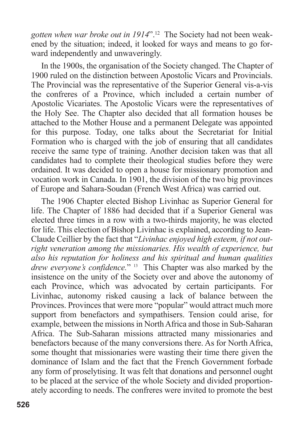*gotten when war broke out in 1914*". <sup>12</sup> The Society had not been weakened by the situation; indeed, it looked for ways and means to go forward independently and unwaveringly.

In the 1900s, the organisation of the Society changed. The Chapter of 1900 ruled on the distinction between Apostolic Vicars and Provincials. The Provincial was the representative of the Superior General vis-a-vis the confreres of a Province, which included a certain number of Apostolic Vicariates. The Apostolic Vicars were the representatives of the Holy See. The Chapter also decided that all formation houses be attached to the Mother House and a permanent Delegate was appointed for this purpose. Today, one talks about the Secretariat for Initial Formation who is charged with the job of ensuring that all candidates receive the same type of training. Another decision taken was that all candidates had to complete their theological studies before they were ordained. It was decided to open a house for missionary promotion and vocation work in Canada. In 1901, the division of the two big provinces of Europe and Sahara-Soudan (French West Africa) was carried out.

The 1906 Chapter elected Bishop Livinhac as Superior General for life. The Chapter of 1886 had decided that if a Superior General was elected three times in a row with a two-thirds majority, he was elected for life. This election of Bishop Livinhac is explained, according to Jean-Claude Ceillier by the fact that "*Livinhac enjoyed high esteem, if not outright veneration among the missionaries. His wealth of experience, but also his reputation for holiness and his spiritual and human qualities drew everyone's confidence.*" <sup>13</sup> This Chapter was also marked by the insistence on the unity of the Society over and above the autonomy of each Province, which was advocated by certain participants. For Livinhac, autonomy risked causing a lack of balance between the Provinces. Provinces that were more "popular" would attract much more support from benefactors and sympathisers. Tension could arise, for example, between the missions in North Africa and those in Sub-Saharan Africa. The Sub-Saharan missions attracted many missionaries and benefactors because of the many conversions there. As for North Africa, some thought that missionaries were wasting their time there given the dominance of Islam and the fact that the French Government forbade any form of proselytising. It was felt that donations and personnel ought to be placed at the service of the whole Society and divided proportionately according to needs. The confreres were invited to promote the best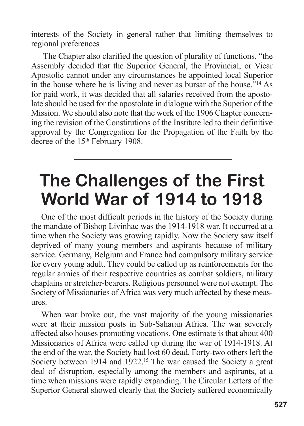interests of the Society in general rather that limiting themselves to regional preferences

The Chapter also clarified the question of plurality of functions, "the Assembly decided that the Superior General, the Provincial, or Vicar Apostolic cannot under any circumstances be appointed local Superior in the house where he is living and never as bursar of the house."14 As for paid work, it was decided that all salaries received from the apostolate should be used for the apostolate in dialogue with the Superior of the Mission. We should also note that the work of the 1906 Chapter concerning the revision of the Constitutions of the Institute led to their definitive approval by the Congregation for the Propagation of the Faith by the decree of the 15<sup>th</sup> February 1908.

## **The Challenges of the First World War of 1914 to 1918**

One of the most difficult periods in the history of the Society during the mandate of Bishop Livinhac was the 1914-1918 war. It occurred at a time when the Society was growing rapidly. Now the Society saw itself deprived of many young members and aspirants because of military service. Germany, Belgium and France had compulsory military service for every young adult. They could be called up as reinforcements for the regular armies of their respective countries as combat soldiers, military chaplains or stretcher-bearers. Religious personnel were not exempt. The Society of Missionaries of Africa was very much affected by these measures.

When war broke out, the vast majority of the young missionaries were at their mission posts in Sub-Saharan Africa. The war severely affected also houses promoting vocations. One estimate is that about 400 Missionaries of Africa were called up during the war of 1914-1918. At the end of the war, the Society had lost 60 dead. Forty-two others left the Society between 1914 and 1922. <sup>15</sup> The war caused the Society a great deal of disruption, especially among the members and aspirants, at a time when missions were rapidly expanding. The Circular Letters of the Superior General showed clearly that the Society suffered economically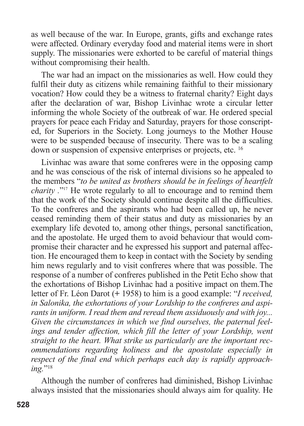as well because of the war. In Europe, grants, gifts and exchange rates were affected. Ordinary everyday food and material items were in short supply. The missionaries were exhorted to be careful of material things without compromising their health.

The war had an impact on the missionaries as well. How could they fulfil their duty as citizens while remaining faithful to their missionary vocation? How could they be a witness to fraternal charity? Eight days after the declaration of war, Bishop Livinhac wrote a circular letter informing the whole Society of the outbreak of war. He ordered special prayers for peace each Friday and Saturday, prayers for those conscripted, for Superiors in the Society. Long journeys to the Mother House were to be suspended because of insecurity. There was to be a scaling down or suspension of expensive enterprises or projects, etc. <sup>16</sup>

Livinhac was aware that some confreres were in the opposing camp and he was conscious of the risk of internal divisions so he appealed to the members "*to be united as brothers should be in feelings of heartfelt charity .*"17 He wrote regularly to all to encourage and to remind them that the work of the Society should continue despite all the difficulties. To the confreres and the aspirants who had been called up, he never ceased reminding them of their status and duty as missionaries by an exemplary life devoted to, among other things, personal sanctification, and the apostolate. He urged them to avoid behaviour that would compromise their character and he expressed his support and paternal affection. He encouraged them to keep in contact with the Society by sending him news regularly and to visit confreres where that was possible. The response of a number of confreres published in the Petit Echo show that the exhortations of Bishop Livinhac had a positive impact on them.The letter of Fr. Léon Darot (**+** 1958) to him is a good example: "*I received, in Salonika, the exhortations of your Lordship to the confreres and aspirants in uniform. I read them and reread them assiduously and with joy... Given the circumstances in which we find ourselves, the paternal feelings and tender affection, which fill the letter of your Lordship, went straight to the heart. What strike us particularly are the important recommendations regarding holiness and the apostolate especially in respect of the final end which perhaps each day is rapidly approaching.*"<sup>18</sup>

Although the number of confreres had diminished, Bishop Livinhac always insisted that the missionaries should always aim for quality. He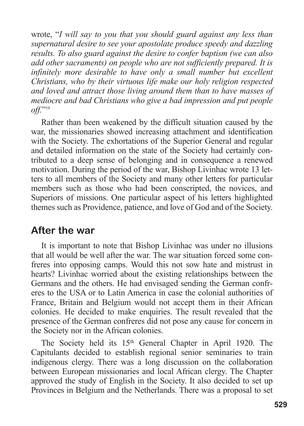wrote, "*I will say to you that you should guard against any less than supernatural desire to see your apostolate produce speedy and dazzling results. To also guard against the desire to confer baptism (we can also add other sacraments) on people who are not sufficiently prepared. It is infinitely more desirable to have only a small number but excellent Christians, who by their virtuous life make our holy religion respected and loved and attract those living around them than to have masses of mediocre and bad Christians who give a bad impression and put people off.*"19

Rather than been weakened by the difficult situation caused by the war, the missionaries showed increasing attachment and identification with the Society. The exhortations of the Superior General and regular and detailed information on the state of the Society had certainly contributed to a deep sense of belonging and in consequence a renewed motivation. During the period of the war, Bishop Livinhac wrote 13 letters to all members of the Society and many other letters for particular members such as those who had been conscripted, the novices, and Superiors of missions. One particular aspect of his letters highlighted themes such as Providence, patience, and love of God and of the Society.

### **After the war**

It is important to note that Bishop Livinhac was under no illusions that all would be well after the war. The war situation forced some confreres into opposing camps. Would this not sow hate and mistrust in hearts? Livinhac worried about the existing relationships between the Germans and the others. He had envisaged sending the German confreres to the USA or to Latin America in case the colonial authorities of France, Britain and Belgium would not accept them in their African colonies. He decided to make enquiries. The result revealed that the presence of the German confreres did not pose any cause for concern in the Society nor in the African colonies.

The Society held its 15<sup>th</sup> General Chapter in April 1920. The Capitulants decided to establish regional senior seminaries to train indigenous clergy. There was a long discussion on the collaboration between European missionaries and local African clergy. The Chapter approved the study of English in the Society. It also decided to set up Provinces in Belgium and the Netherlands. There was a proposal to set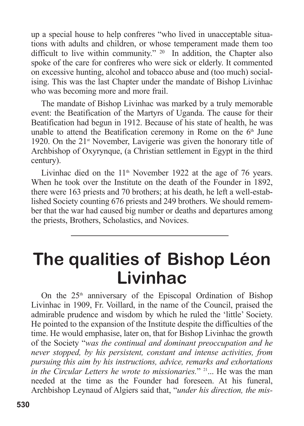up a special house to help confreres "who lived in unacceptable situations with adults and children, or whose temperament made them too difficult to live within community." <sup>20</sup> In addition, the Chapter also spoke of the care for confreres who were sick or elderly. It commented on excessive hunting, alcohol and tobacco abuse and (too much) socialising. This was the last Chapter under the mandate of Bishop Livinhac who was becoming more and more frail.

The mandate of Bishop Livinhac was marked by a truly memorable event: the Beatification of the Martyrs of Uganda. The cause for their Beatification had begun in 1912. Because of his state of health, he was unable to attend the Beatification ceremony in Rome on the  $6<sup>th</sup>$  June 1920. On the  $21<sup>st</sup>$  November, Lavigerie was given the honorary title of Archbishop of Oxyrynque, (a Christian settlement in Egypt in the third century).

Livinhac died on the  $11<sup>th</sup>$  November 1922 at the age of 76 years. When he took over the Institute on the death of the Founder in 1892, there were 163 priests and 70 brothers; at his death, he left a well-established Society counting 676 priests and 249 brothers. We should remember that the war had caused big number or deaths and departures among the priests, Brothers, Scholastics, and Novices.

## **The qualities of Bishop Léon Livinhac**

On the  $25<sup>th</sup>$  anniversary of the Episcopal Ordination of Bishop Livinhac in 1909, Fr. Voillard, in the name of the Council, praised the admirable prudence and wisdom by which he ruled the 'little' Society. He pointed to the expansion of the Institute despite the difficulties of the time. He would emphasise, later on, that for Bishop Livinhac the growth of the Society "*was the continual and dominant preoccupation and he never stopped, by his persistent, constant and intense activities, from pursuing this aim by his instructions, advice, remarks and exhortations in the Circular Letters he wrote to missionaries.*" <sup>21</sup> ... He was the man needed at the time as the Founder had foreseen. At his funeral, Archbishop Leynaud of Algiers said that, "*under his direction, the mis-*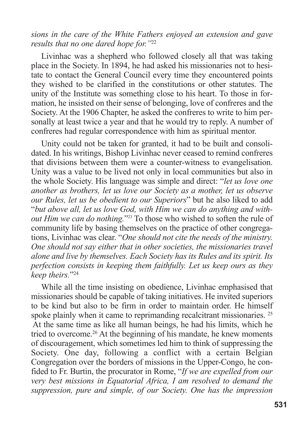#### *sions in the care of the White Fathers enjoyed an extension and gave results that no one dared hope for."*<sup>22</sup>

Livinhac was a shepherd who followed closely all that was taking place in the Society. In 1894, he had asked his missionaries not to hesitate to contact the General Council every time they encountered points they wished to be clarified in the constitutions or other statutes. The unity of the Institute was something close to his heart. To those in formation, he insisted on their sense of belonging, love of confreres and the Society. At the 1906 Chapter, he asked the confreres to write to him personally at least twice a year and that he would try to reply. A number of confreres had regular correspondence with him as spiritual mentor.

Unity could not be taken for granted, it had to be built and consolidated. In his writings, Bishop Livinhac never ceased to remind confreres that divisions between them were a counter-witness to evangelisation. Unity was a value to be lived not only in local communities but also in the whole Society. His language was simple and direct: "*let us love one another as brothers, let us love our Society as a mother, let us observe our Rules, let us be obedient to our Superiors*" but he also liked to add "*but above all, let us love God, with Him we can do anything and without Him we can do nothing.*"23 To those who wished to soften the rule of community life by basing themselves on the practice of other congregations, Livinhac was clear. "*One should not cite the needs of the ministry. One should not say either that in other societies, the missionaries travel alone and live by themselves. Each Society has its Rules and its spirit. Its perfection consists in keeping them faithfully. Let us keep ours as they keep theirs.*"24

While all the time insisting on obedience, Livinhac emphasised that missionaries should be capable of taking initiatives. He invited superiors to be kind but also to be firm in order to maintain order. He himself spoke plainly when it came to reprimanding recalcitrant missionaries. <sup>25</sup> At the same time as like all human beings, he had his limits, which he tried to overcome. <sup>26</sup> At the beginning of his mandate, he knew moments of discouragement, which sometimes led him to think of suppressing the Society. One day, following a conflict with a certain Belgian Congregation over the borders of missions in the Upper-Congo, he confided to Fr. Burtin, the procurator in Rome, "*If we are expelled from our very best missions in Equatorial Africa, I am resolved to demand the suppression, pure and simple, of our Society. One has the impression*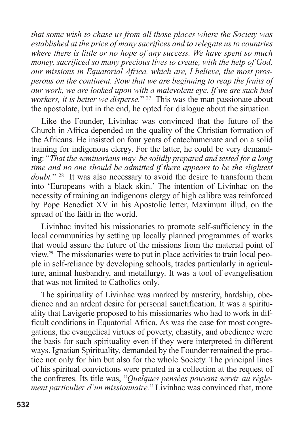*that some wish to chase us from all those places where the Society was established at the price of many sacrifices and to relegate us to countries where there is little or no hope of any success. We have spent so much money, sacrificed so many precious lives to create, with the help of God, our missions in Equatorial Africa, which are, I believe, the most prosperous on the continent. Now that we are beginning to reap the fruits of our work, we are looked upon with a malevolent eye. If we are such bad workers, it is better we disperse.*" <sup>27</sup> This was the man passionate about the apostolate, but in the end, he opted for dialogue about the situation.

Like the Founder, Livinhac was convinced that the future of the Church in Africa depended on the quality of the Christian formation of the Africans. He insisted on four years of catechumenate and on a solid training for indigenous clergy. For the latter, he could be very demanding: "*That the seminarians may be solidly prepared and tested for a long time and no one should be admitted if there appears to be the slightest doubt.*" <sup>28</sup> It was also necessary to avoid the desire to transform them into 'Europeans with a black skin.' The intention of Livinhac on the necessity of training an indigenous clergy of high calibre was reinforced by Pope Benedict XV in his Apostolic letter, Maximum illud, on the spread of the faith in the world.

Livinhac invited his missionaries to promote self-sufficiency in the local communities by setting up locally planned programmes of works that would assure the future of the missions from the material point of view. <sup>29</sup> The missionaries were to put in place activities to train local people in self-reliance by developing schools, trades particularly in agriculture, animal husbandry, and metallurgy. It was a tool of evangelisation that was not limited to Catholics only.

The spirituality of Livinhac was marked by austerity, hardship, obedience and an ardent desire for personal sanctification. It was a spirituality that Lavigerie proposed to his missionaries who had to work in difficult conditions in Equatorial Africa. As was the case for most congregations, the evangelical virtues of poverty, chastity, and obedience were the basis for such spirituality even if they were interpreted in different ways. Ignatian Spirituality, demanded by the Founder remained the practice not only for him but also for the whole Society. The principal lines of his spiritual convictions were printed in a collection at the request of the confreres. Its title was, "*Quelques pensées pouvant servir au règlement particulier d'un missionnaire.*" Livinhac was convinced that, more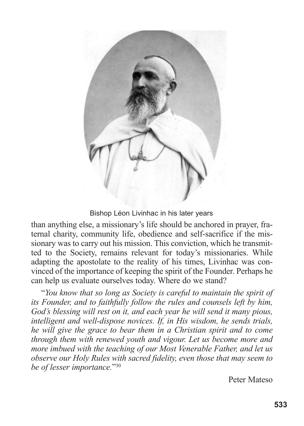

#### Bishop Léon Livinhac in his later years

than anything else, a missionary's life should be anchored in prayer, fraternal charity, community life, obedience and self-sacrifice if the missionary was to carry out his mission. This conviction, which he transmitted to the Society, remains relevant for today's missionaries. While adapting the apostolate to the reality of his times, Livinhac was convinced of the importance of keeping the spirit of the Founder. Perhaps he can help us evaluate ourselves today. Where do we stand?

"*You know that so long as Society is careful to maintain the spirit of its Founder, and to faithfully follow the rules and counsels left by him, God's blessing will rest on it, and each year he will send it many pious, intelligent and well-dispose novices. If, in His wisdom, he sends trials, he will give the grace to bear them in a Christian spirit and to come through them with renewed youth and vigour. Let us become more and more imbued with the teaching of our Most Venerable Father, and let us observe our Holy Rules with sacred fidelity, even those that may seem to be of lesser importance.*"30

Peter Mateso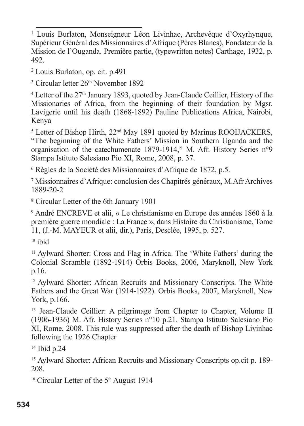<sup>1</sup> Louis Burlaton, Monseigneur Léon Livinhac, Archevêque d'Oxyrhynque, Supérieur Général des Missionnaires d'Afrique (Pères Blancs), Fondateur de la Mission de l'Ouganda. Première partie, (typewritten notes) Carthage, 1932, p. 492.

<sup>2</sup> Louis Burlaton, op. cit. p.491

<sup>3</sup> Circular letter 26<sup>th</sup> November 1892

<sup>4</sup> Letter of the 27<sup>th</sup> January 1893, quoted by Jean-Claude Ceillier, History of the Missionaries of Africa, from the beginning of their foundation by Mgsr. Lavigerie until his death (1868-1892) Pauline Publications Africa, Nairobi, Kenya

<sup>5</sup> Letter of Bishop Hirth, 22<sup>nd</sup> May 1891 quoted by Marinus ROOIJACKERS, "The beginning of the White Fathers' Mission in Southern Uganda and the organisation of the catechumenate 1879-1914," M. Afr. History Series n°9 Stampa Istituto Salesiano Pio XI, Rome, 2008, p. 37.

<sup>6</sup> Règles de la Société des Missionnaires d'Afrique de 1872, p.5.

<sup>7</sup> Missionnaires d'Afrique: conclusion des Chapitrés généraux, M.Afr Archives 1889-20-2

<sup>8</sup> Circular Letter of the 6th January 1901

<sup>9</sup> André ENCREVE et alii, « Le christianisme en Europe des années 1860 à la première guerre mondiale : La France », dans Histoire du Christianisme, Tome 11, (J.-M. MAYEUR et alii, dir.), Paris, Desclée, 1995, p. 527.

 $10$  ibid

<sup>11</sup> Aylward Shorter: Cross and Flag in Africa. The 'White Fathers' during the Colonial Scramble (1892-1914) Orbis Books, 2006, Maryknoll, New York p.16.

<sup>12</sup> Aylward Shorter: African Recruits and Missionary Conscripts. The White Fathers and the Great War (1914-1922). Orbis Books, 2007, Maryknoll, New York, p.166.

<sup>13</sup> Jean-Claude Ceillier: A pilgrimage from Chapter to Chapter, Volume II (1906-1936) M. Afr. History Series n°10 p.21. Stampa Istituto Salesiano Pio XI, Rome, 2008. This rule was suppressed after the death of Bishop Livinhac following the 1926 Chapter

<sup>14</sup> Ibid p.24

<sup>15</sup> Aylward Shorter: African Recruits and Missionary Conscripts op.cit p. 189- 208.

<sup>16</sup> Circular Letter of the  $5<sup>th</sup>$  August 1914